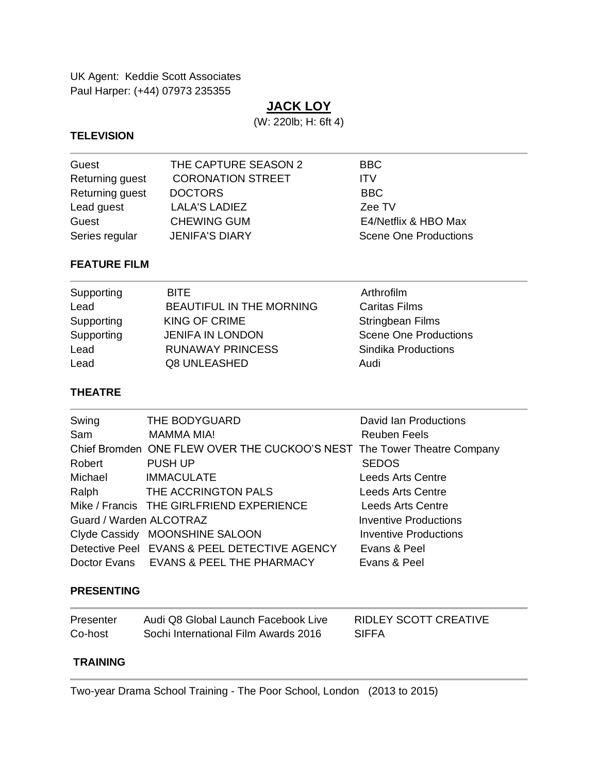UK Agent: Keddie Scott Associates Paul Harper: (+44) 07973 235355

# **JACK LOY**

(W: 220lb; H: 6ft 4)

#### **TELEVISION**

| Guest           | THE CAPTURE SEASON 2     | <b>BBC</b>                   |
|-----------------|--------------------------|------------------------------|
| Returning guest | <b>CORONATION STREET</b> | <b>ITV</b>                   |
| Returning guest | <b>DOCTORS</b>           | BBC.                         |
| Lead guest      | <b>LALA'S LADIEZ</b>     | Zee TV                       |
| Guest           | <b>CHEWING GUM</b>       | E4/Netflix & HBO Max         |
| Series regular  | <b>JENIFA'S DIARY</b>    | <b>Scene One Productions</b> |

#### **FEATURE FILM**

| Supporting | <b>BITE</b>              | Arthrofilm                   |
|------------|--------------------------|------------------------------|
| Lead       | BEAUTIFUL IN THE MORNING | <b>Caritas Films</b>         |
| Supporting | KING OF CRIME            | <b>Stringbean Films</b>      |
| Supporting | <b>JENIFA IN LONDON</b>  | <b>Scene One Productions</b> |
| Lead       | <b>RUNAWAY PRINCESS</b>  | Sindika Productions          |
| Lead       | Q8 UNLEASHED             | Audi                         |

### **THEATRE**

| Swing                   | THE BODYGUARD                                                           | David Ian Productions        |
|-------------------------|-------------------------------------------------------------------------|------------------------------|
| Sam                     | <b>MAMMA MIA!</b>                                                       | <b>Reuben Feels</b>          |
|                         | Chief Bromden ONE FLEW OVER THE CUCKOO'S NEST The Tower Theatre Company |                              |
| Robert                  | PUSH UP                                                                 | <b>SEDOS</b>                 |
| Michael                 | <b>IMMACULATE</b>                                                       | <b>Leeds Arts Centre</b>     |
| Ralph                   | THE ACCRINGTON PALS                                                     | Leeds Arts Centre            |
|                         | Mike / Francis THE GIRLFRIEND EXPERIENCE                                | <b>Leeds Arts Centre</b>     |
| Guard / Warden ALCOTRAZ |                                                                         | <b>Inventive Productions</b> |
|                         | Clyde Cassidy MOONSHINE SALOON                                          | <b>Inventive Productions</b> |
|                         | Detective Peel EVANS & PEEL DETECTIVE AGENCY                            | Evans & Peel                 |
|                         | Doctor Evans EVANS & PEEL THE PHARMACY                                  | Evans & Peel                 |

#### **PRESENTING**

| Presenter | Audi Q8 Global Launch Facebook Live  | RIDLEY SCOTT CREATIVE |
|-----------|--------------------------------------|-----------------------|
| Co-host   | Sochi International Film Awards 2016 | <b>SIFFA</b>          |

### **TRAINING**

Two-year Drama School Training - The Poor School, London (2013 to 2015)